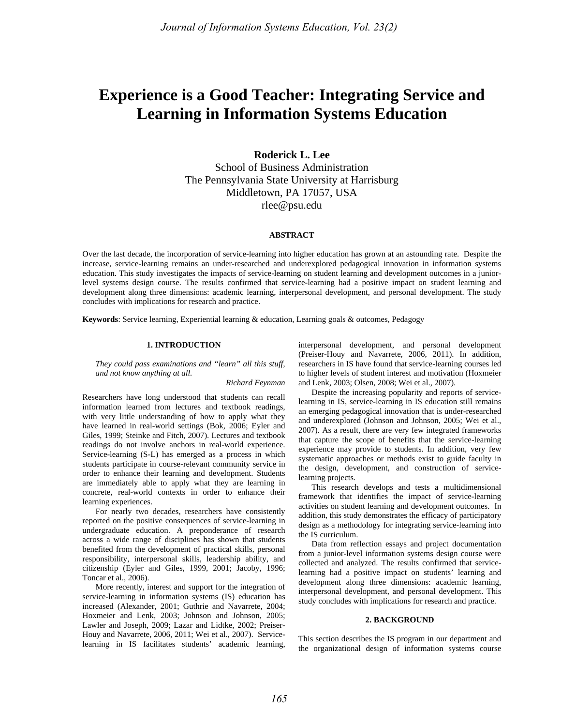# **Experience is a Good Teacher: Integrating Service and Learning in Information Systems Education**

# **Roderick L. Lee**

School of Business Administration The Pennsylvania State University at Harrisburg Middletown, PA 17057, USA rlee@psu.edu

#### **ABSTRACT**

Over the last decade, the incorporation of service-learning into higher education has grown at an astounding rate. Despite the increase, service-learning remains an under-researched and underexplored pedagogical innovation in information systems education. This study investigates the impacts of service-learning on student learning and development outcomes in a juniorlevel systems design course. The results confirmed that service-learning had a positive impact on student learning and development along three dimensions: academic learning, interpersonal development, and personal development. The study concludes with implications for research and practice.

**Keywords**: Service learning, Experiential learning & education, Learning goals & outcomes, Pedagogy

#### **1. INTRODUCTION**

*They could pass examinations and "learn" all this stuff, and not know anything at all.* 

*Richard Feynman* 

Researchers have long understood that students can recall information learned from lectures and textbook readings, with very little understanding of how to apply what they have learned in real-world settings (Bok, 2006; Eyler and Giles, 1999; Steinke and Fitch, 2007). Lectures and textbook readings do not involve anchors in real-world experience. Service-learning (S-L) has emerged as a process in which students participate in course-relevant community service in order to enhance their learning and development. Students are immediately able to apply what they are learning in concrete, real-world contexts in order to enhance their learning experiences.

For nearly two decades, researchers have consistently reported on the positive consequences of service-learning in undergraduate education. A preponderance of research across a wide range of disciplines has shown that students benefited from the development of practical skills, personal responsibility, interpersonal skills, leadership ability, and citizenship (Eyler and Giles, 1999, 2001; Jacoby, 1996; Toncar et al., 2006).

More recently, interest and support for the integration of service-learning in information systems (IS) education has increased (Alexander, 2001; Guthrie and Navarrete, 2004; Hoxmeier and Lenk, 2003; Johnson and Johnson, 2005; Lawler and Joseph, 2009; Lazar and Lidtke, 2002; Preiser-Houy and Navarrete, 2006, 2011; Wei et al., 2007). Servicelearning in IS facilitates students' academic learning, interpersonal development, and personal development (Preiser-Houy and Navarrete, 2006, 2011). In addition, researchers in IS have found that service-learning courses led to higher levels of student interest and motivation (Hoxmeier and Lenk, 2003; Olsen, 2008; Wei et al., 2007).

Despite the increasing popularity and reports of servicelearning in IS, service-learning in IS education still remains an emerging pedagogical innovation that is under-researched and underexplored (Johnson and Johnson, 2005; Wei et al., 2007). As a result, there are very few integrated frameworks that capture the scope of benefits that the service-learning experience may provide to students. In addition, very few systematic approaches or methods exist to guide faculty in the design, development, and construction of servicelearning projects.

This research develops and tests a multidimensional framework that identifies the impact of service-learning activities on student learning and development outcomes. In addition, this study demonstrates the efficacy of participatory design as a methodology for integrating service-learning into the IS curriculum.

Data from reflection essays and project documentation from a junior-level information systems design course were collected and analyzed. The results confirmed that servicelearning had a positive impact on students' learning and development along three dimensions: academic learning, interpersonal development, and personal development. This study concludes with implications for research and practice.

## **2. BACKGROUND**

This section describes the IS program in our department and the organizational design of information systems course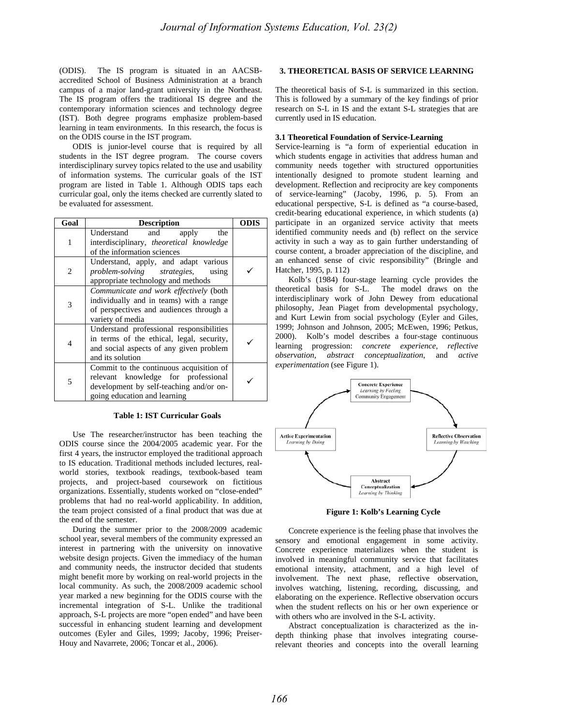(ODIS). The IS program is situated in an AACSBaccredited School of Business Administration at a branch campus of a major land-grant university in the Northeast. The IS program offers the traditional IS degree and the contemporary information sciences and technology degree (IST). Both degree programs emphasize problem-based learning in team environments. In this research, the focus is on the ODIS course in the IST program.

ODIS is junior-level course that is required by all students in the IST degree program. The course covers interdisciplinary survey topics related to the use and usability of information systems. The curricular goals of the IST program are listed in Table 1. Although ODIS taps each curricular goal, only the items checked are currently slated to be evaluated for assessment.

| Goal | <b>Description</b>                                                                                                                                        | <b>ODIS</b> |
|------|-----------------------------------------------------------------------------------------------------------------------------------------------------------|-------------|
| 1    | Understand<br>and<br>the<br>apply<br>interdisciplinary, theoretical knowledge<br>of the information sciences                                              |             |
| 2    | Understand, apply, and adapt various<br>problem-solving strategies,<br>using<br>appropriate technology and methods                                        |             |
| 3    | Communicate and work effectively (both<br>individually and in teams) with a range<br>of perspectives and audiences through a<br>variety of media          |             |
| 4    | Understand professional responsibilities<br>in terms of the ethical, legal, security,<br>and social aspects of any given problem<br>and its solution      |             |
| 5    | Commit to the continuous acquisition of<br>relevant knowledge for professional<br>development by self-teaching and/or on-<br>going education and learning |             |

## **Table 1: IST Curricular Goals**

Use The researcher/instructor has been teaching the ODIS course since the 2004/2005 academic year. For the first 4 years, the instructor employed the traditional approach to IS education. Traditional methods included lectures, realworld stories, textbook readings, textbook-based team projects, and project-based coursework on fictitious organizations. Essentially, students worked on "close-ended" problems that had no real-world applicability. In addition, the team project consisted of a final product that was due at the end of the semester.

During the summer prior to the 2008/2009 academic school year, several members of the community expressed an interest in partnering with the university on innovative website design projects. Given the immediacy of the human and community needs, the instructor decided that students might benefit more by working on real-world projects in the local community. As such, the 2008/2009 academic school year marked a new beginning for the ODIS course with the incremental integration of S-L. Unlike the traditional approach, S-L projects are more "open ended" and have been successful in enhancing student learning and development outcomes (Eyler and Giles, 1999; Jacoby, 1996; Preiser-Houy and Navarrete, 2006; Toncar et al., 2006).

# **3. THEORETICAL BASIS OF SERVICE LEARNING**

The theoretical basis of S-L is summarized in this section. This is followed by a summary of the key findings of prior research on S-L in IS and the extant S-L strategies that are currently used in IS education.

#### **3.1 Theoretical Foundation of Service-Learning**

Service-learning is "a form of experiential education in which students engage in activities that address human and community needs together with structured opportunities intentionally designed to promote student learning and development. Reflection and reciprocity are key components of service-learning" (Jacoby, 1996, p. 5). From an educational perspective, S-L is defined as "a course-based, credit-bearing educational experience, in which students (a) participate in an organized service activity that meets identified community needs and (b) reflect on the service activity in such a way as to gain further understanding of course content, a broader appreciation of the discipline, and an enhanced sense of civic responsibility" (Bringle and Hatcher, 1995, p. 112)

Kolb's (1984) four-stage learning cycle provides the theoretical basis for S-L. The model draws on the interdisciplinary work of John Dewey from educational philosophy, Jean Piaget from developmental psychology, and Kurt Lewin from social psychology (Eyler and Giles, 1999; Johnson and Johnson, 2005; McEwen, 1996; Petkus, 2000). Kolb's model describes a four-stage continuous learning progression: *concrete experience, reflective observation, abstract conceptualization*, and *active experimentation* (see Figure 1).



**Figure 1: Kolb's Learning Cycle** 

Concrete experience is the feeling phase that involves the sensory and emotional engagement in some activity. Concrete experience materializes when the student is involved in meaningful community service that facilitates emotional intensity, attachment, and a high level of involvement. The next phase, reflective observation, involves watching, listening, recording, discussing, and elaborating on the experience. Reflective observation occurs when the student reflects on his or her own experience or with others who are involved in the S-L activity.

Abstract conceptualization is characterized as the indepth thinking phase that involves integrating courserelevant theories and concepts into the overall learning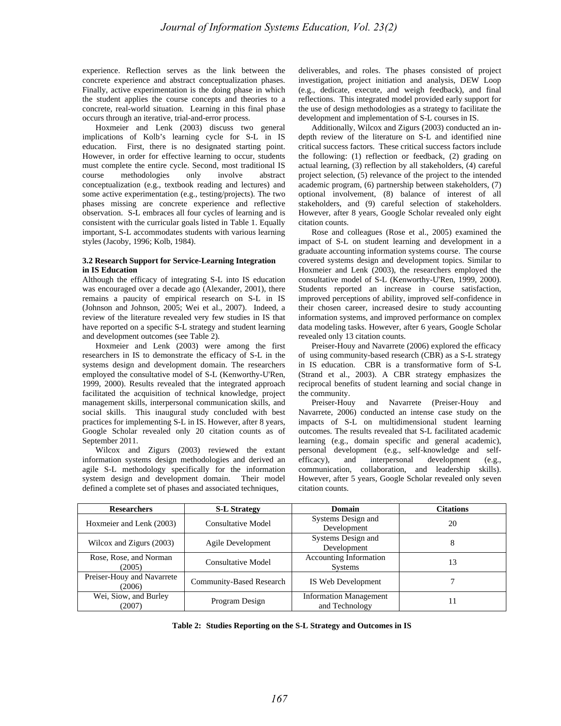experience. Reflection serves as the link between the concrete experience and abstract conceptualization phases. Finally, active experimentation is the doing phase in which the student applies the course concepts and theories to a concrete, real-world situation. Learning in this final phase occurs through an iterative, trial-and-error process.

Hoxmeier and Lenk (2003) discuss two general implications of Kolb's learning cycle for S-L in IS education. First, there is no designated starting point. However, in order for effective learning to occur, students must complete the entire cycle. Second, most traditional IS course methodologies only involve abstract conceptualization (e.g., textbook reading and lectures) and some active experimentation (e.g., testing/projects). The two phases missing are concrete experience and reflective observation. S-L embraces all four cycles of learning and is consistent with the curricular goals listed in Table 1. Equally important, S-L accommodates students with various learning styles (Jacoby, 1996; Kolb, 1984).

# **3.2 Research Support for Service-Learning Integration in IS Education**

Although the efficacy of integrating S-L into IS education was encouraged over a decade ago (Alexander, 2001), there remains a paucity of empirical research on S-L in IS (Johnson and Johnson, 2005; Wei et al., 2007). Indeed, a review of the literature revealed very few studies in IS that have reported on a specific S-L strategy and student learning and development outcomes (see Table 2).

Hoxmeier and Lenk (2003) were among the first researchers in IS to demonstrate the efficacy of S-L in the systems design and development domain. The researchers employed the consultative model of S-L (Kenworthy-U'Ren, 1999, 2000). Results revealed that the integrated approach facilitated the acquisition of technical knowledge, project management skills, interpersonal communication skills, and social skills. This inaugural study concluded with best practices for implementing S-L in IS. However, after 8 years, Google Scholar revealed only 20 citation counts as of September 2011.

Wilcox and Zigurs (2003) reviewed the extant information systems design methodologies and derived an agile S-L methodology specifically for the information system design and development domain. Their model defined a complete set of phases and associated techniques,

deliverables, and roles. The phases consisted of project investigation, project initiation and analysis, DEW Loop (e.g., dedicate, execute, and weigh feedback), and final reflections. This integrated model provided early support for the use of design methodologies as a strategy to facilitate the development and implementation of S-L courses in IS.

Additionally, Wilcox and Zigurs (2003) conducted an indepth review of the literature on S-L and identified nine critical success factors. These critical success factors include the following: (1) reflection or feedback, (2) grading on actual learning, (3) reflection by all stakeholders, (4) careful project selection, (5) relevance of the project to the intended academic program, (6) partnership between stakeholders, (7) optional involvement, (8) balance of interest of all stakeholders, and (9) careful selection of stakeholders. However, after 8 years, Google Scholar revealed only eight citation counts.

Rose and colleagues (Rose et al., 2005) examined the impact of S-L on student learning and development in a graduate accounting information systems course. The course covered systems design and development topics. Similar to Hoxmeier and Lenk (2003), the researchers employed the consultative model of S-L (Kenworthy-U'Ren, 1999, 2000). Students reported an increase in course satisfaction, improved perceptions of ability, improved self-confidence in their chosen career, increased desire to study accounting information systems, and improved performance on complex data modeling tasks. However, after 6 years, Google Scholar revealed only 13 citation counts.

Preiser-Houy and Navarrete (2006) explored the efficacy of using community-based research (CBR) as a S-L strategy in IS education. CBR is a transformative form of S-L (Strand et al., 2003). A CBR strategy emphasizes the reciprocal benefits of student learning and social change in the community.

Preiser-Houy and Navarrete (Preiser-Houy and Navarrete, 2006) conducted an intense case study on the impacts of S-L on multidimensional student learning outcomes. The results revealed that S-L facilitated academic learning (e.g., domain specific and general academic), personal development (e.g., self-knowledge and selfefficacy), and interpersonal development (e.g., communication, collaboration, and leadership skills). However, after 5 years, Google Scholar revealed only seven citation counts.

| <b>Researchers</b>                   | <b>S-L Strategy</b>       | <b>Domain</b>                                   | <b>Citations</b> |  |
|--------------------------------------|---------------------------|-------------------------------------------------|------------------|--|
| Hoxmeier and Lenk (2003)             | <b>Consultative Model</b> | Systems Design and<br>Development               | 20               |  |
| Wilcox and Zigurs (2003)             | Agile Development         | Systems Design and<br>Development               | 8                |  |
| Rose, Rose, and Norman<br>(2005)     | <b>Consultative Model</b> | <b>Accounting Information</b><br><b>Systems</b> | 13               |  |
| Preiser-Houy and Navarrete<br>(2006) | Community-Based Research  | IS Web Development                              |                  |  |
| Wei, Siow, and Burley<br>(2007)      | Program Design            | <b>Information Management</b><br>and Technology |                  |  |

**Table 2: Studies Reporting on the S-L Strategy and Outcomes in IS**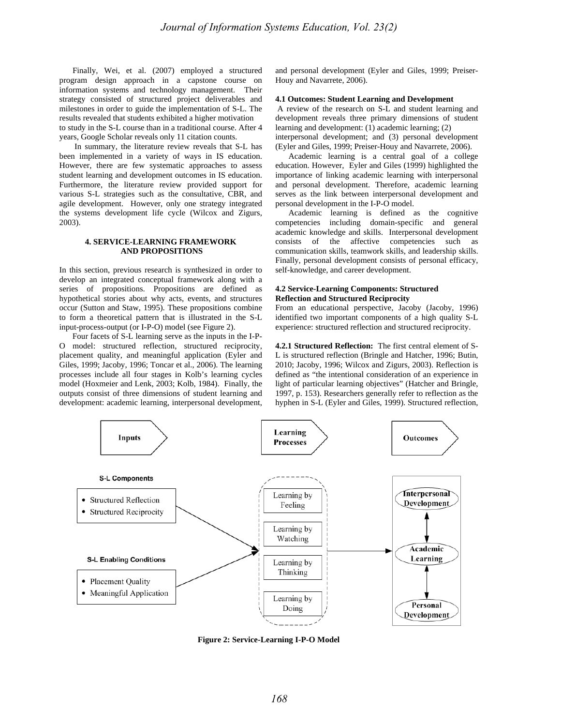Finally, Wei, et al. (2007) employed a structured program design approach in a capstone course on information systems and technology management. Their strategy consisted of structured project deliverables and milestones in order to guide the implementation of S-L. The results revealed that students exhibited a higher motivation to study in the S-L course than in a traditional course. After 4 years, Google Scholar reveals only 11 citation counts.

 In summary, the literature review reveals that S-L has been implemented in a variety of ways in IS education. However, there are few systematic approaches to assess student learning and development outcomes in IS education. Furthermore, the literature review provided support for various S-L strategies such as the consultative, CBR, and agile development. However, only one strategy integrated the systems development life cycle (Wilcox and Zigurs, 2003).

# **4. SERVICE-LEARNING FRAMEWORK AND PROPOSITIONS**

In this section, previous research is synthesized in order to develop an integrated conceptual framework along with a series of propositions. Propositions are defined as hypothetical stories about why acts, events, and structures occur (Sutton and Staw, 1995). These propositions combine to form a theoretical pattern that is illustrated in the S-L input-process-output (or I-P-O) model (see Figure 2).

Four facets of S-L learning serve as the inputs in the I-P-O model: structured reflection, structured reciprocity, placement quality, and meaningful application (Eyler and Giles, 1999; Jacoby, 1996; Toncar et al., 2006). The learning processes include all four stages in Kolb's learning cycles model (Hoxmeier and Lenk, 2003; Kolb, 1984). Finally, the outputs consist of three dimensions of student learning and development: academic learning, interpersonal development,

and personal development (Eyler and Giles, 1999; Preiser-Houy and Navarrete, 2006).

#### **4.1 Outcomes: Student Learning and Development**

 A review of the research on S-L and student learning and development reveals three primary dimensions of student learning and development: (1) academic learning; (2) interpersonal development; and (3) personal development (Eyler and Giles, 1999; Preiser-Houy and Navarrete, 2006).

Academic learning is a central goal of a college education. However, Eyler and Giles (1999) highlighted the importance of linking academic learning with interpersonal and personal development. Therefore, academic learning serves as the link between interpersonal development and personal development in the I-P-O model.

Academic learning is defined as the cognitive competencies including domain-specific and general academic knowledge and skills. Interpersonal development consists of the affective competencies such as communication skills, teamwork skills, and leadership skills. Finally, personal development consists of personal efficacy, self-knowledge, and career development.

# **4.2 Service-Learning Components: Structured Reflection and Structured Reciprocity**

From an educational perspective, Jacoby (Jacoby, 1996) identified two important components of a high quality S-L experience: structured reflection and structured reciprocity.

**4.2.1 Structured Reflection:** The first central element of S-L is structured reflection (Bringle and Hatcher, 1996; Butin, 2010; Jacoby, 1996; Wilcox and Zigurs, 2003). Reflection is defined as "the intentional consideration of an experience in light of particular learning objectives" (Hatcher and Bringle, 1997, p. 153). Researchers generally refer to reflection as the hyphen in S-L (Eyler and Giles, 1999). Structured reflection,



**Figure 2: Service-Learning I-P-O Model**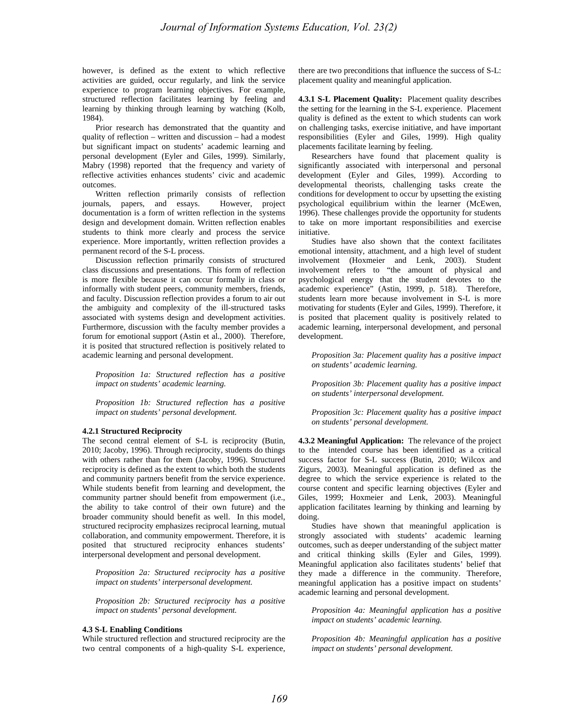however, is defined as the extent to which reflective activities are guided, occur regularly, and link the service experience to program learning objectives. For example, structured reflection facilitates learning by feeling and learning by thinking through learning by watching (Kolb, 1984).

Prior research has demonstrated that the quantity and quality of reflection – written and discussion – had a modest but significant impact on students' academic learning and personal development (Eyler and Giles, 1999). Similarly, Mabry (1998) reported that the frequency and variety of reflective activities enhances students' civic and academic outcomes.

Written reflection primarily consists of reflection journals, papers, and essays. However, project documentation is a form of written reflection in the systems design and development domain. Written reflection enables students to think more clearly and process the service experience. More importantly, written reflection provides a permanent record of the S-L process.

Discussion reflection primarily consists of structured class discussions and presentations. This form of reflection is more flexible because it can occur formally in class or informally with student peers, community members, friends, and faculty. Discussion reflection provides a forum to air out the ambiguity and complexity of the ill-structured tasks associated with systems design and development activities. Furthermore, discussion with the faculty member provides a forum for emotional support (Astin et al., 2000). Therefore, it is posited that structured reflection is positively related to academic learning and personal development.

*Proposition 1a: Structured reflection has a positive impact on students' academic learning.* 

*Proposition 1b: Structured reflection has a positive impact on students' personal development.* 

#### **4.2.1 Structured Reciprocity**

The second central element of S-L is reciprocity (Butin, 2010; Jacoby, 1996). Through reciprocity, students do things with others rather than for them (Jacoby, 1996). Structured reciprocity is defined as the extent to which both the students and community partners benefit from the service experience. While students benefit from learning and development, the community partner should benefit from empowerment (i.e., the ability to take control of their own future) and the broader community should benefit as well. In this model, structured reciprocity emphasizes reciprocal learning, mutual collaboration, and community empowerment. Therefore, it is posited that structured reciprocity enhances students' interpersonal development and personal development.

*Proposition 2a: Structured reciprocity has a positive impact on students' interpersonal development.* 

*Proposition 2b: Structured reciprocity has a positive impact on students' personal development.* 

# **4.3 S-L Enabling Conditions**

While structured reflection and structured reciprocity are the two central components of a high-quality S-L experience, there are two preconditions that influence the success of S-L: placement quality and meaningful application.

**4.3.1 S-L Placement Quality:** Placement quality describes the setting for the learning in the S-L experience. Placement quality is defined as the extent to which students can work on challenging tasks, exercise initiative, and have important responsibilities (Eyler and Giles, 1999). High quality placements facilitate learning by feeling.

Researchers have found that placement quality is significantly associated with interpersonal and personal development (Eyler and Giles, 1999). According to developmental theorists, challenging tasks create the conditions for development to occur by upsetting the existing psychological equilibrium within the learner (McEwen, 1996). These challenges provide the opportunity for students to take on more important responsibilities and exercise initiative.

Studies have also shown that the context facilitates emotional intensity, attachment, and a high level of student involvement (Hoxmeier and Lenk, 2003). Student involvement refers to "the amount of physical and psychological energy that the student devotes to the academic experience" (Astin, 1999, p. 518). Therefore, students learn more because involvement in S-L is more motivating for students (Eyler and Giles, 1999). Therefore, it is posited that placement quality is positively related to academic learning, interpersonal development, and personal development.

*Proposition 3a: Placement quality has a positive impact on students' academic learning.* 

*Proposition 3b: Placement quality has a positive impact on students' interpersonal development.* 

*Proposition 3c: Placement quality has a positive impact on students' personal development.* 

**4.3.2 Meaningful Application:** The relevance of the project to the intended course has been identified as a critical success factor for S-L success (Butin, 2010; Wilcox and Zigurs, 2003). Meaningful application is defined as the degree to which the service experience is related to the course content and specific learning objectives (Eyler and Giles, 1999; Hoxmeier and Lenk, 2003). Meaningful application facilitates learning by thinking and learning by doing.

Studies have shown that meaningful application is strongly associated with students' academic learning outcomes, such as deeper understanding of the subject matter and critical thinking skills (Eyler and Giles, 1999). Meaningful application also facilitates students' belief that they made a difference in the community. Therefore, meaningful application has a positive impact on students' academic learning and personal development.

*Proposition 4a: Meaningful application has a positive impact on students' academic learning.* 

*Proposition 4b: Meaningful application has a positive impact on students' personal development.*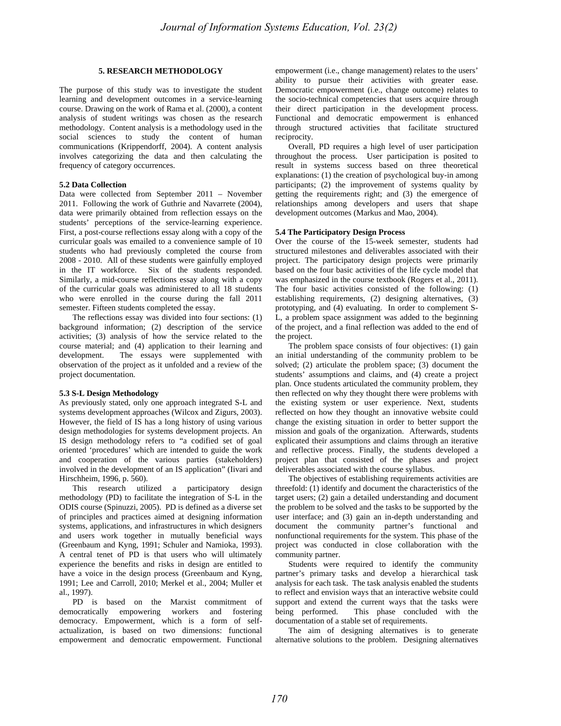# **5. RESEARCH METHODOLOGY**

The purpose of this study was to investigate the student learning and development outcomes in a service-learning course. Drawing on the work of Rama et al. (2000), a content analysis of student writings was chosen as the research methodology. Content analysis is a methodology used in the social sciences to study the content of human communications (Krippendorff, 2004). A content analysis involves categorizing the data and then calculating the frequency of category occurrences.

#### **5.2 Data Collection**

Data were collected from September 2011 – November 2011. Following the work of Guthrie and Navarrete (2004), data were primarily obtained from reflection essays on the students' perceptions of the service-learning experience. First, a post-course reflections essay along with a copy of the curricular goals was emailed to a convenience sample of 10 students who had previously completed the course from 2008 - 2010. All of these students were gainfully employed in the IT workforce. Six of the students responded. Similarly, a mid-course reflections essay along with a copy of the curricular goals was administered to all 18 students who were enrolled in the course during the fall 2011 semester. Fifteen students completed the essay.

The reflections essay was divided into four sections: (1) background information; (2) description of the service activities; (3) analysis of how the service related to the course material; and (4) application to their learning and development. The essays were supplemented with observation of the project as it unfolded and a review of the project documentation.

#### **5.3 S-L Design Methodology**

As previously stated, only one approach integrated S-L and systems development approaches (Wilcox and Zigurs, 2003). However, the field of IS has a long history of using various design methodologies for systems development projects. An IS design methodology refers to "a codified set of goal oriented 'procedures' which are intended to guide the work and cooperation of the various parties (stakeholders) involved in the development of an IS application" (Iivari and Hirschheim, 1996, p. 560).

This research utilized a participatory design methodology (PD) to facilitate the integration of S-L in the ODIS course (Spinuzzi, 2005). PD is defined as a diverse set of principles and practices aimed at designing information systems, applications, and infrastructures in which designers and users work together in mutually beneficial ways (Greenbaum and Kyng, 1991; Schuler and Namioka, 1993). A central tenet of PD is that users who will ultimately experience the benefits and risks in design are entitled to have a voice in the design process (Greenbaum and Kyng, 1991; Lee and Carroll, 2010; Merkel et al., 2004; Muller et al., 1997).

PD is based on the Marxist commitment of democratically empowering workers and fostering democracy. Empowerment, which is a form of selfactualization, is based on two dimensions: functional empowerment and democratic empowerment. Functional empowerment (i.e., change management) relates to the users' ability to pursue their activities with greater ease. Democratic empowerment (i.e., change outcome) relates to the socio-technical competencies that users acquire through their direct participation in the development process. Functional and democratic empowerment is enhanced through structured activities that facilitate structured reciprocity.

Overall, PD requires a high level of user participation throughout the process. User participation is posited to result in systems success based on three theoretical explanations: (1) the creation of psychological buy-in among participants; (2) the improvement of systems quality by getting the requirements right; and (3) the emergence of relationships among developers and users that shape development outcomes (Markus and Mao, 2004).

# **5.4 The Participatory Design Process**

Over the course of the 15-week semester, students had structured milestones and deliverables associated with their project. The participatory design projects were primarily based on the four basic activities of the life cycle model that was emphasized in the course textbook (Rogers et al., 2011). The four basic activities consisted of the following: (1) establishing requirements, (2) designing alternatives, (3) prototyping, and (4) evaluating. In order to complement S-L, a problem space assignment was added to the beginning of the project, and a final reflection was added to the end of the project.

The problem space consists of four objectives: (1) gain an initial understanding of the community problem to be solved; (2) articulate the problem space; (3) document the students' assumptions and claims, and (4) create a project plan. Once students articulated the community problem, they then reflected on why they thought there were problems with the existing system or user experience. Next, students reflected on how they thought an innovative website could change the existing situation in order to better support the mission and goals of the organization. Afterwards, students explicated their assumptions and claims through an iterative and reflective process. Finally, the students developed a project plan that consisted of the phases and project deliverables associated with the course syllabus.

The objectives of establishing requirements activities are threefold: (1) identify and document the characteristics of the target users; (2) gain a detailed understanding and document the problem to be solved and the tasks to be supported by the user interface; and (3) gain an in-depth understanding and document the community partner's functional and nonfunctional requirements for the system. This phase of the project was conducted in close collaboration with the community partner.

Students were required to identify the community partner's primary tasks and develop a hierarchical task analysis for each task. The task analysis enabled the students to reflect and envision ways that an interactive website could support and extend the current ways that the tasks were being performed. This phase concluded with the documentation of a stable set of requirements.

The aim of designing alternatives is to generate alternative solutions to the problem. Designing alternatives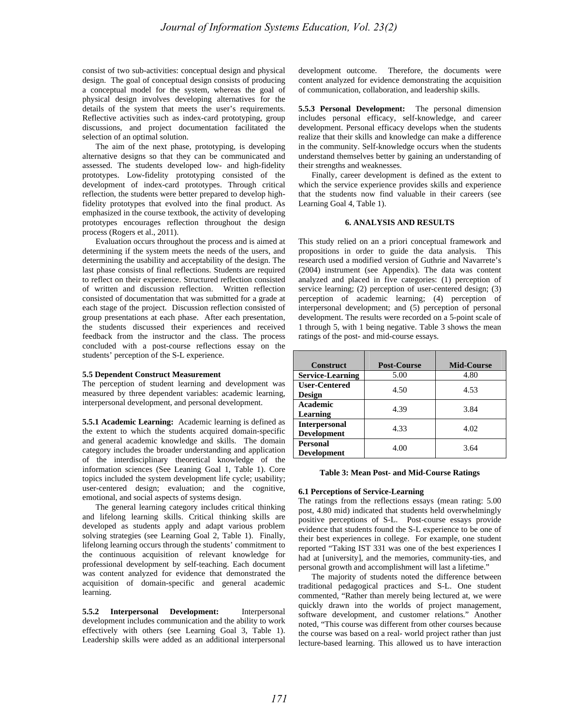consist of two sub-activities: conceptual design and physical design. The goal of conceptual design consists of producing a conceptual model for the system, whereas the goal of physical design involves developing alternatives for the details of the system that meets the user's requirements. Reflective activities such as index-card prototyping, group discussions, and project documentation facilitated the selection of an optimal solution.

 The aim of the next phase, prototyping, is developing alternative designs so that they can be communicated and assessed. The students developed low- and high-fidelity prototypes. Low-fidelity prototyping consisted of the development of index-card prototypes. Through critical reflection, the students were better prepared to develop highfidelity prototypes that evolved into the final product. As emphasized in the course textbook, the activity of developing prototypes encourages reflection throughout the design process (Rogers et al., 2011).

Evaluation occurs throughout the process and is aimed at determining if the system meets the needs of the users, and determining the usability and acceptability of the design. The last phase consists of final reflections. Students are required to reflect on their experience. Structured reflection consisted of written and discussion reflection. Written reflection consisted of documentation that was submitted for a grade at each stage of the project. Discussion reflection consisted of group presentations at each phase. After each presentation, the students discussed their experiences and received feedback from the instructor and the class. The process concluded with a post-course reflections essay on the students' perception of the S-L experience.

#### **5.5 Dependent Construct Measurement**

The perception of student learning and development was measured by three dependent variables: academic learning, interpersonal development, and personal development.

**5.5.1 Academic Learning:** Academic learning is defined as the extent to which the students acquired domain-specific and general academic knowledge and skills. The domain category includes the broader understanding and application of the interdisciplinary theoretical knowledge of the information sciences (See Leaning Goal 1, Table 1). Core topics included the system development life cycle; usability; user-centered design; evaluation; and the cognitive, emotional, and social aspects of systems design.

The general learning category includes critical thinking and lifelong learning skills. Critical thinking skills are developed as students apply and adapt various problem solving strategies (see Learning Goal 2, Table 1). Finally, lifelong learning occurs through the students' commitment to the continuous acquisition of relevant knowledge for professional development by self-teaching. Each document was content analyzed for evidence that demonstrated the acquisition of domain-specific and general academic learning.

**5.5.2 Interpersonal Development:** Interpersonal development includes communication and the ability to work effectively with others (see Learning Goal 3, Table 1). Leadership skills were added as an additional interpersonal development outcome. Therefore, the documents were content analyzed for evidence demonstrating the acquisition of communication, collaboration, and leadership skills.

**5.5.3 Personal Development:** The personal dimension includes personal efficacy, self-knowledge, and career development. Personal efficacy develops when the students realize that their skills and knowledge can make a difference in the community. Self-knowledge occurs when the students understand themselves better by gaining an understanding of their strengths and weaknesses.

Finally, career development is defined as the extent to which the service experience provides skills and experience that the students now find valuable in their careers (see Learning Goal 4, Table 1).

# **6. ANALYSIS AND RESULTS**

This study relied on an a priori conceptual framework and propositions in order to guide the data analysis. This research used a modified version of Guthrie and Navarrete's (2004) instrument (see Appendix). The data was content analyzed and placed in five categories: (1) perception of service learning; (2) perception of user-centered design; (3) perception of academic learning; (4) perception of interpersonal development; and (5) perception of personal development. The results were recorded on a 5-point scale of 1 through 5, with 1 being negative. Table 3 shows the mean ratings of the post- and mid-course essays.

| <b>Construct</b>                           | <b>Post-Course</b> | <b>Mid-Course</b> |  |
|--------------------------------------------|--------------------|-------------------|--|
| <b>Service-Learning</b>                    | 5.00               | 4.80              |  |
| <b>User-Centered</b><br><b>Design</b>      | 4.50               | 4.53              |  |
| Academic<br>Learning                       | 4.39               | 3.84              |  |
| <b>Interpersonal</b><br><b>Development</b> | 4.33               | 4.02              |  |
| Personal<br><b>Development</b>             | 4.00               | 3.64              |  |

# **Table 3: Mean Post- and Mid-Course Ratings**

#### **6.1 Perceptions of Service-Learning**

The ratings from the reflections essays (mean rating: 5.00 post, 4.80 mid) indicated that students held overwhelmingly positive perceptions of S-L. Post-course essays provide evidence that students found the S-L experience to be one of their best experiences in college. For example, one student reported "Taking IST 331 was one of the best experiences I had at [university], and the memories, community-ties, and personal growth and accomplishment will last a lifetime."

 The majority of students noted the difference between traditional pedagogical practices and S-L. One student commented, "Rather than merely being lectured at, we were quickly drawn into the worlds of project management, software development, and customer relations." Another noted, "This course was different from other courses because the course was based on a real- world project rather than just lecture-based learning. This allowed us to have interaction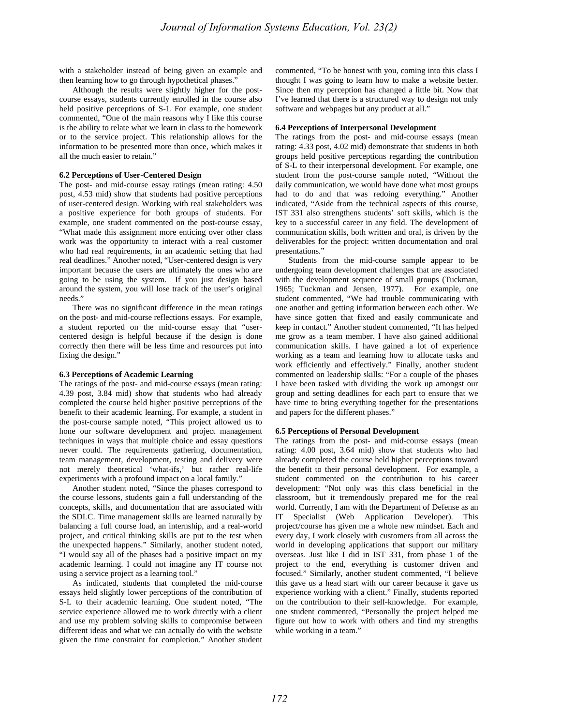with a stakeholder instead of being given an example and then learning how to go through hypothetical phases."

 Although the results were slightly higher for the postcourse essays, students currently enrolled in the course also held positive perceptions of S-L For example, one student commented, "One of the main reasons why I like this course is the ability to relate what we learn in class to the homework or to the service project. This relationship allows for the information to be presented more than once, which makes it all the much easier to retain."

# **6.2 Perceptions of User-Centered Design**

The post- and mid-course essay ratings (mean rating: 4.50 post, 4.53 mid) show that students had positive perceptions of user-centered design. Working with real stakeholders was a positive experience for both groups of students. For example, one student commented on the post-course essay, "What made this assignment more enticing over other class work was the opportunity to interact with a real customer who had real requirements, in an academic setting that had real deadlines." Another noted, "User-centered design is very important because the users are ultimately the ones who are going to be using the system. If you just design based around the system, you will lose track of the user's original needs."

There was no significant difference in the mean ratings on the post- and mid-course reflections essays. For example, a student reported on the mid-course essay that "usercentered design is helpful because if the design is done correctly then there will be less time and resources put into fixing the design."

#### **6.3 Perceptions of Academic Learning**

The ratings of the post- and mid-course essays (mean rating: 4.39 post, 3.84 mid) show that students who had already completed the course held higher positive perceptions of the benefit to their academic learning. For example, a student in the post-course sample noted, "This project allowed us to hone our software development and project management techniques in ways that multiple choice and essay questions never could. The requirements gathering, documentation, team management, development, testing and delivery were not merely theoretical 'what-ifs,' but rather real-life experiments with a profound impact on a local family."

Another student noted, "Since the phases correspond to the course lessons, students gain a full understanding of the concepts, skills, and documentation that are associated with the SDLC. Time management skills are learned naturally by balancing a full course load, an internship, and a real-world project, and critical thinking skills are put to the test when the unexpected happens." Similarly, another student noted, "I would say all of the phases had a positive impact on my academic learning. I could not imagine any IT course not using a service project as a learning tool."

As indicated, students that completed the mid-course essays held slightly lower perceptions of the contribution of S-L to their academic learning. One student noted, "The service experience allowed me to work directly with a client and use my problem solving skills to compromise between different ideas and what we can actually do with the website given the time constraint for completion." Another student commented, "To be honest with you, coming into this class I thought I was going to learn how to make a website better. Since then my perception has changed a little bit. Now that I've learned that there is a structured way to design not only software and webpages but any product at all."

#### **6.4 Perceptions of Interpersonal Development**

The ratings from the post- and mid-course essays (mean rating: 4.33 post, 4.02 mid) demonstrate that students in both groups held positive perceptions regarding the contribution of S-L to their interpersonal development. For example, one student from the post-course sample noted, "Without the daily communication, we would have done what most groups had to do and that was redoing everything." Another indicated, "Aside from the technical aspects of this course, IST 331 also strengthens students' soft skills, which is the key to a successful career in any field. The development of communication skills, both written and oral, is driven by the deliverables for the project: written documentation and oral presentations."

Students from the mid-course sample appear to be undergoing team development challenges that are associated with the development sequence of small groups (Tuckman, 1965; Tuckman and Jensen, 1977). For example, one student commented, "We had trouble communicating with one another and getting information between each other. We have since gotten that fixed and easily communicate and keep in contact." Another student commented, "It has helped me grow as a team member. I have also gained additional communication skills. I have gained a lot of experience working as a team and learning how to allocate tasks and work efficiently and effectively." Finally, another student commented on leadership skills: "For a couple of the phases I have been tasked with dividing the work up amongst our group and setting deadlines for each part to ensure that we have time to bring everything together for the presentations and papers for the different phases."

#### **6.5 Perceptions of Personal Development**

The ratings from the post- and mid-course essays (mean rating: 4.00 post, 3.64 mid) show that students who had already completed the course held higher perceptions toward the benefit to their personal development. For example, a student commented on the contribution to his career development: "Not only was this class beneficial in the classroom, but it tremendously prepared me for the real world. Currently, I am with the Department of Defense as an IT Specialist (Web Application Developer). This project/course has given me a whole new mindset. Each and every day, I work closely with customers from all across the world in developing applications that support our military overseas. Just like I did in IST 331, from phase 1 of the project to the end, everything is customer driven and focused." Similarly, another student commented, "I believe this gave us a head start with our career because it gave us experience working with a client." Finally, students reported on the contribution to their self-knowledge. For example, one student commented, "Personally the project helped me figure out how to work with others and find my strengths while working in a team."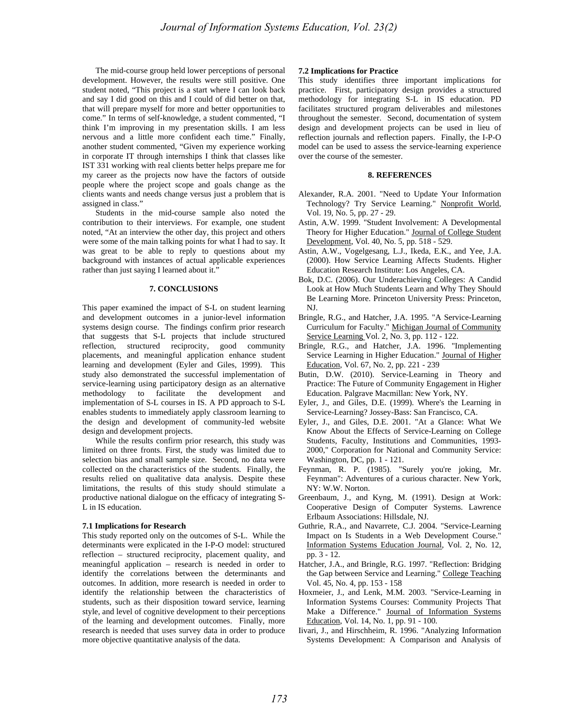The mid-course group held lower perceptions of personal development. However, the results were still positive. One student noted, "This project is a start where I can look back and say I did good on this and I could of did better on that, that will prepare myself for more and better opportunities to come." In terms of self-knowledge, a student commented, "I think I'm improving in my presentation skills. I am less nervous and a little more confident each time." Finally, another student commented, "Given my experience working in corporate IT through internships I think that classes like IST 331 working with real clients better helps prepare me for my career as the projects now have the factors of outside people where the project scope and goals change as the clients wants and needs change versus just a problem that is assigned in class."

Students in the mid-course sample also noted the contribution to their interviews. For example, one student noted, "At an interview the other day, this project and others were some of the main talking points for what I had to say. It was great to be able to reply to questions about my background with instances of actual applicable experiences rather than just saying I learned about it."

## **7. CONCLUSIONS**

This paper examined the impact of S-L on student learning and development outcomes in a junior-level information systems design course. The findings confirm prior research that suggests that S-L projects that include structured reflection, structured reciprocity, good community placements, and meaningful application enhance student learning and development (Eyler and Giles, 1999). This study also demonstrated the successful implementation of service-learning using participatory design as an alternative methodology to facilitate the development and implementation of S-L courses in IS. A PD approach to S-L enables students to immediately apply classroom learning to the design and development of community-led website design and development projects.

While the results confirm prior research, this study was limited on three fronts. First, the study was limited due to selection bias and small sample size. Second, no data were collected on the characteristics of the students. Finally, the results relied on qualitative data analysis. Despite these limitations, the results of this study should stimulate a productive national dialogue on the efficacy of integrating S-L in IS education.

#### **7.1 Implications for Research**

This study reported only on the outcomes of S-L. While the determinants were explicated in the I-P-O model: structured reflection – structured reciprocity, placement quality, and meaningful application – research is needed in order to identify the correlations between the determinants and outcomes. In addition, more research is needed in order to identify the relationship between the characteristics of students, such as their disposition toward service, learning style, and level of cognitive development to their perceptions of the learning and development outcomes. Finally, more research is needed that uses survey data in order to produce more objective quantitative analysis of the data.

# **7.2 Implications for Practice**

This study identifies three important implications for practice. First, participatory design provides a structured methodology for integrating S-L in IS education. PD facilitates structured program deliverables and milestones throughout the semester. Second, documentation of system design and development projects can be used in lieu of reflection journals and reflection papers. Finally, the I-P-O model can be used to assess the service-learning experience over the course of the semester.

# **8. REFERENCES**

- Alexander, R.A. 2001. "Need to Update Your Information Technology? Try Service Learning." Nonprofit World, Vol. 19, No. 5, pp. 27 - 29.
- Astin, A.W. 1999. "Student Involvement: A Developmental Theory for Higher Education." Journal of College Student Development, Vol. 40, No. 5, pp. 518 - 529.
- Astin, A.W., Vogelgesang, L.J., Ikeda, E.K., and Yee, J.A. (2000). How Service Learning Affects Students. Higher Education Research Institute: Los Angeles, CA.
- Bok, D.C. (2006). Our Underachieving Colleges: A Candid Look at How Much Students Learn and Why They Should Be Learning More. Princeton University Press: Princeton, NJ.
- Bringle, R.G., and Hatcher, J.A. 1995. "A Service-Learning Curriculum for Faculty." Michigan Journal of Community Service Learning Vol. 2, No. 3, pp. 112 - 122.
- Bringle, R.G., and Hatcher, J.A. 1996. "Implementing Service Learning in Higher Education." Journal of Higher Education, Vol. 67, No. 2, pp. 221 - 239
- Butin, D.W. (2010). Service-Learning in Theory and Practice: The Future of Community Engagement in Higher Education. Palgrave Macmillan: New York, NY.
- Eyler, J., and Giles, D.E. (1999). Where's the Learning in Service-Learning? Jossey-Bass: San Francisco, CA.
- Eyler, J., and Giles, D.E. 2001. "At a Glance: What We Know About the Effects of Service-Learning on College Students, Faculty, Institutions and Communities, 1993- 2000," Corporation for National and Community Service: Washington, DC, pp. 1 - 121.
- Feynman, R. P. (1985). "Surely you're joking, Mr. Feynman": Adventures of a curious character. New York, NY: W.W. Norton.
- Greenbaum, J., and Kyng, M. (1991). Design at Work: Cooperative Design of Computer Systems. Lawrence Erlbaum Associations: Hillsdale, NJ.
- Guthrie, R.A., and Navarrete, C.J. 2004. "Service-Learning Impact on Is Students in a Web Development Course." Information Systems Education Journal, Vol. 2, No. 12, pp. 3 - 12.
- Hatcher, J.A., and Bringle, R.G. 1997. "Reflection: Bridging the Gap between Service and Learning." College Teaching Vol. 45, No. 4, pp. 153 - 158
- Hoxmeier, J., and Lenk, M.M. 2003. "Service-Learning in Information Systems Courses: Community Projects That Make a Difference." Journal of Information Systems Education, Vol. 14, No. 1, pp. 91 - 100.
- Iivari, J., and Hirschheim, R. 1996. "Analyzing Information Systems Development: A Comparison and Analysis of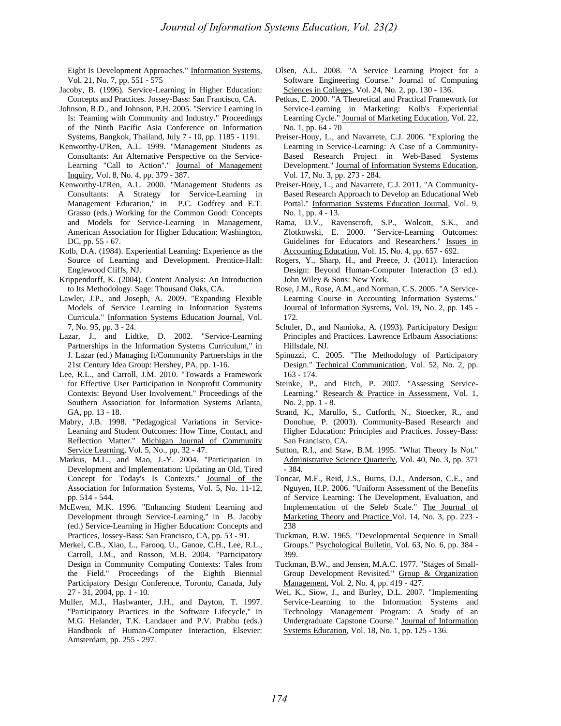Eight Is Development Approaches." Information Systems, Vol. 21, No. 7, pp. 551 - 575

- Jacoby, B. (1996). Service-Learning in Higher Education: Concepts and Practices. Jossey-Bass: San Francisco, CA.
- Johnson, R.D., and Johnson, P.H. 2005. "Service Learning in Is: Teaming with Community and Industry." Proceedings of the Ninth Pacific Asia Conference on Information Systems, Bangkok, Thailand, July 7 - 10, pp. 1185 - 1191.
- Kenworthy-U'Ren, A.L. 1999. "Management Students as Consultants: An Alternative Perspective on the Service-Learning "Call to Action"." Journal of Management Inquiry, Vol. 8, No. 4, pp. 379 - 387.
- Kenworthy-U'Ren, A.L. 2000. "Management Students as Consultants: A Strategy for Service-Learning in Management Education," in P.C. Godfrey and E.T. Grasso (eds.) Working for the Common Good: Concepts and Models for Service-Learning in Management*,* American Association for Higher Education: Washington, DC, pp. 55 - 67.
- Kolb, D.A. (1984). Experiential Learning: Experience as the Source of Learning and Development. Prentice-Hall: Englewood Cliffs, NJ.
- Krippendorff, K. (2004). Content Analysis: An Introduction to Its Methodology. Sage: Thousand Oaks, CA.
- Lawler, J.P., and Joseph, A. 2009. "Expanding Flexible Models of Service Learning in Information Systems Curricula." Information Systems Education Journal, Vol. 7, No. 95, pp. 3 - 24.
- Lazar, J., and Lidtke, D. 2002. "Service-Learning Partnerships in the Information Systems Curriculum," in J. Lazar (ed.) Managing It/Community Partnerships in the 21st Century Idea Group: Hershey, PA, pp. 1-16.
- Lee, R.L., and Carroll, J.M. 2010. "Towards a Framework for Effective User Participation in Nonprofit Community Contexts: Beyond User Involvement." Proceedings of the Southern Association for Information Systems Atlanta, GA, pp. 13 - 18.
- Mabry, J.B. 1998. "Pedagogical Variations in Service-Learning and Student Outcomes: How Time, Contact, and Reflection Matter." Michigan Journal of Community Service Learning, Vol. 5, No., pp. 32 - 47.
- Markus, M.L., and Mao, J.-Y. 2004. "Participation in Development and Implementation: Updating an Old, Tired Concept for Today's Is Contexts." Journal of the Association for Information Systems, Vol. 5, No. 11-12, pp. 514 - 544.
- McEwen, M.K. 1996. "Enhancing Student Learning and Development through Service-Learning," in B. Jacoby (ed.) Service-Learning in Higher Education: Concepts and Practices*,* Jossey-Bass: San Francisco, CA, pp. 53 - 91.
- Merkel, C.B., Xiao, L., Farooq, U., Ganoe, C.H., Lee, R.L., Carroll, J.M., and Rosson, M.B. 2004. "Participatory Design in Community Computing Contexts: Tales from the Field." Proceedings of the Eighth Biennial Participatory Design Conference, Toronto, Canada, July 27 - 31, 2004, pp. 1 - 10.
- Muller, M.J., Haslwanter, J.H., and Dayton, T. 1997. "Participatory Practices in the Software Lifecycle," in M.G. Helander, T.K. Landauer and P.V. Prabhu (eds.) Handbook of Human-Computer Interaction*,* Elsevier: Amsterdam, pp. 255 - 297.
- Olsen, A.L. 2008. "A Service Learning Project for a Software Engineering Course." Journal of Computing Sciences in Colleges, Vol. 24, No. 2, pp. 130 - 136.
- Petkus, E. 2000. "A Theoretical and Practical Framework for Service-Learning in Marketing: Kolb's Experiential Learning Cycle." Journal of Marketing Education, Vol. 22, No. 1, pp. 64 - 70
- Preiser-Houy, L., and Navarrete, C.J. 2006. "Exploring the Learning in Service-Learning: A Case of a Community-Based Research Project in Web-Based Systems Development." Journal of Information Systems Education, Vol. 17, No. 3, pp. 273 - 284.
- Preiser-Houy, L., and Navarrete, C.J. 2011. "A Community-Based Research Approach to Develop an Educational Web Portal." Information Systems Education Journal, Vol. 9, No. 1, pp. 4 - 13.
- Rama, D.V., Ravenscroft, S.P., Wolcott, S.K., and Zlotkowski, E. 2000. "Service-Learning Outcomes: Guidelines for Educators and Researchers." Issues in Accounting Education, Vol. 15, No. 4, pp. 657 - 692.
- Rogers, Y., Sharp, H., and Preece, J. (2011). Interaction Design: Beyond Human-Computer Interaction (3 ed.). John Wiley & Sons: New York.
- Rose, J.M., Rose, A.M., and Norman, C.S. 2005. "A Service-Learning Course in Accounting Information Systems." Journal of Information Systems, Vol. 19, No. 2, pp. 145 - 172.
- Schuler, D., and Namioka, A. (1993). Participatory Design: Principles and Practices. Lawrence Erlbaum Associations: Hillsdale, NJ.
- Spinuzzi, C. 2005. "The Methodology of Participatory Design." Technical Communication, Vol. 52, No. 2, pp. 163 - 174.
- Steinke, P., and Fitch, P. 2007. "Assessing Service-Learning." Research & Practice in Assessment, Vol. 1, No. 2, pp. 1 - 8.
- Strand, K., Marullo, S., Cutforth, N., Stoecker, R., and Donohue, P. (2003). Community-Based Research and Higher Education: Principles and Practices. Jossey-Bass: San Francisco, CA.
- Sutton, R.I., and Staw, B.M. 1995. "What Theory Is Not." Administrative Science Quarterly, Vol. 40, No. 3, pp. 371 - 384.
- Toncar, M.F., Reid, J.S., Burns, D.J., Anderson, C.E., and Nguyen, H.P. 2006. "Uniform Assessment of the Benefits of Service Learning: The Development, Evaluation, and Implementation of the Seleb Scale." The Journal of Marketing Theory and Practice Vol. 14, No. 3, pp. 223 - 238
- Tuckman, B.W. 1965. "Developmental Sequence in Small Groups." Psychological Bulletin, Vol. 63, No. 6, pp. 384 - 399.
- Tuckman, B.W., and Jensen, M.A.C. 1977. "Stages of Small-Group Development Revisited." Group & Organization Management, Vol. 2, No. 4, pp. 419 - 427.
- Wei, K., Siow, J., and Burley, D.L. 2007. "Implementing Service-Learning to the Information Systems and Technology Management Program: A Study of an Undergraduate Capstone Course." Journal of Information Systems Education, Vol. 18, No. 1, pp. 125 - 136.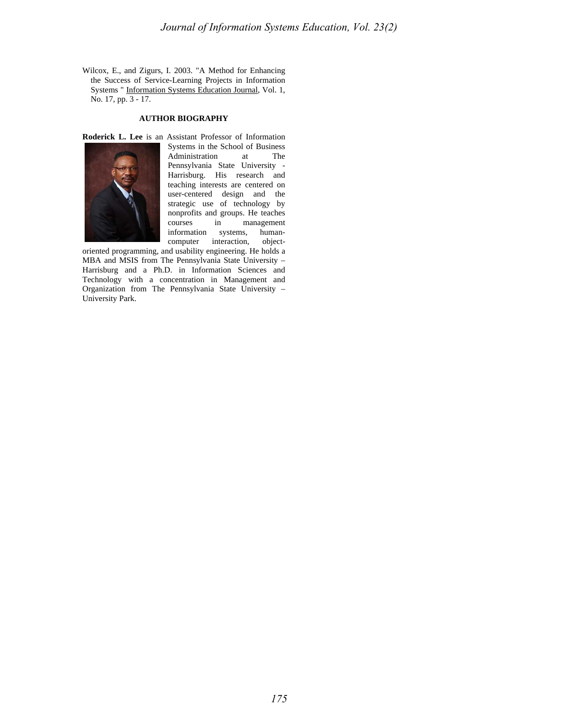Wilcox, E., and Zigurs, I. 2003. "A Method for Enhancing the Success of Service-Learning Projects in Information Systems " Information Systems Education Journal, Vol. 1, No. 17, pp. 3 - 17.

# **AUTHOR BIOGRAPHY**



**Roderick L. Lee** is an Assistant Professor of Information Systems in the School of Business<br>Administration at The Administration at Pennsylvania State University - Harrisburg. His research and teaching interests are centered on user-centered design and the strategic use of technology by nonprofits and groups. He teaches courses in management information systems, humancomputer interaction, object-

oriented programming, and usability engineering. He holds a MBA and MSIS from The Pennsylvania State University – Harrisburg and a Ph.D. in Information Sciences and Technology with a concentration in Management and Organization from The Pennsylvania State University – University Park.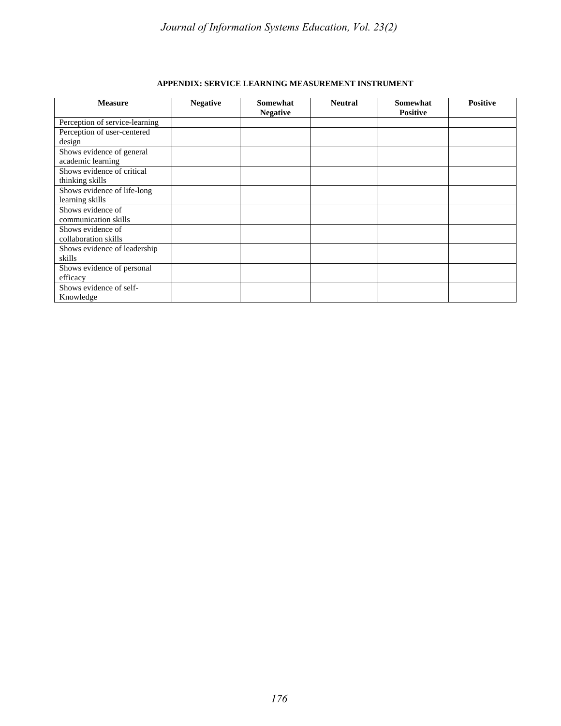| <b>Measure</b>                 | <b>Negative</b> | Somewhat<br><b>Negative</b> | <b>Neutral</b> | Somewhat<br><b>Positive</b> | <b>Positive</b> |
|--------------------------------|-----------------|-----------------------------|----------------|-----------------------------|-----------------|
| Perception of service-learning |                 |                             |                |                             |                 |
| Perception of user-centered    |                 |                             |                |                             |                 |
| design                         |                 |                             |                |                             |                 |
| Shows evidence of general      |                 |                             |                |                             |                 |
| academic learning              |                 |                             |                |                             |                 |
| Shows evidence of critical     |                 |                             |                |                             |                 |
| thinking skills                |                 |                             |                |                             |                 |
| Shows evidence of life-long    |                 |                             |                |                             |                 |
| learning skills                |                 |                             |                |                             |                 |
| Shows evidence of              |                 |                             |                |                             |                 |
| communication skills           |                 |                             |                |                             |                 |
| Shows evidence of              |                 |                             |                |                             |                 |
| collaboration skills           |                 |                             |                |                             |                 |
| Shows evidence of leadership   |                 |                             |                |                             |                 |
| skills                         |                 |                             |                |                             |                 |
| Shows evidence of personal     |                 |                             |                |                             |                 |
| efficacy                       |                 |                             |                |                             |                 |
| Shows evidence of self-        |                 |                             |                |                             |                 |
| Knowledge                      |                 |                             |                |                             |                 |

# **APPENDIX: SERVICE LEARNING MEASUREMENT INSTRUMENT**